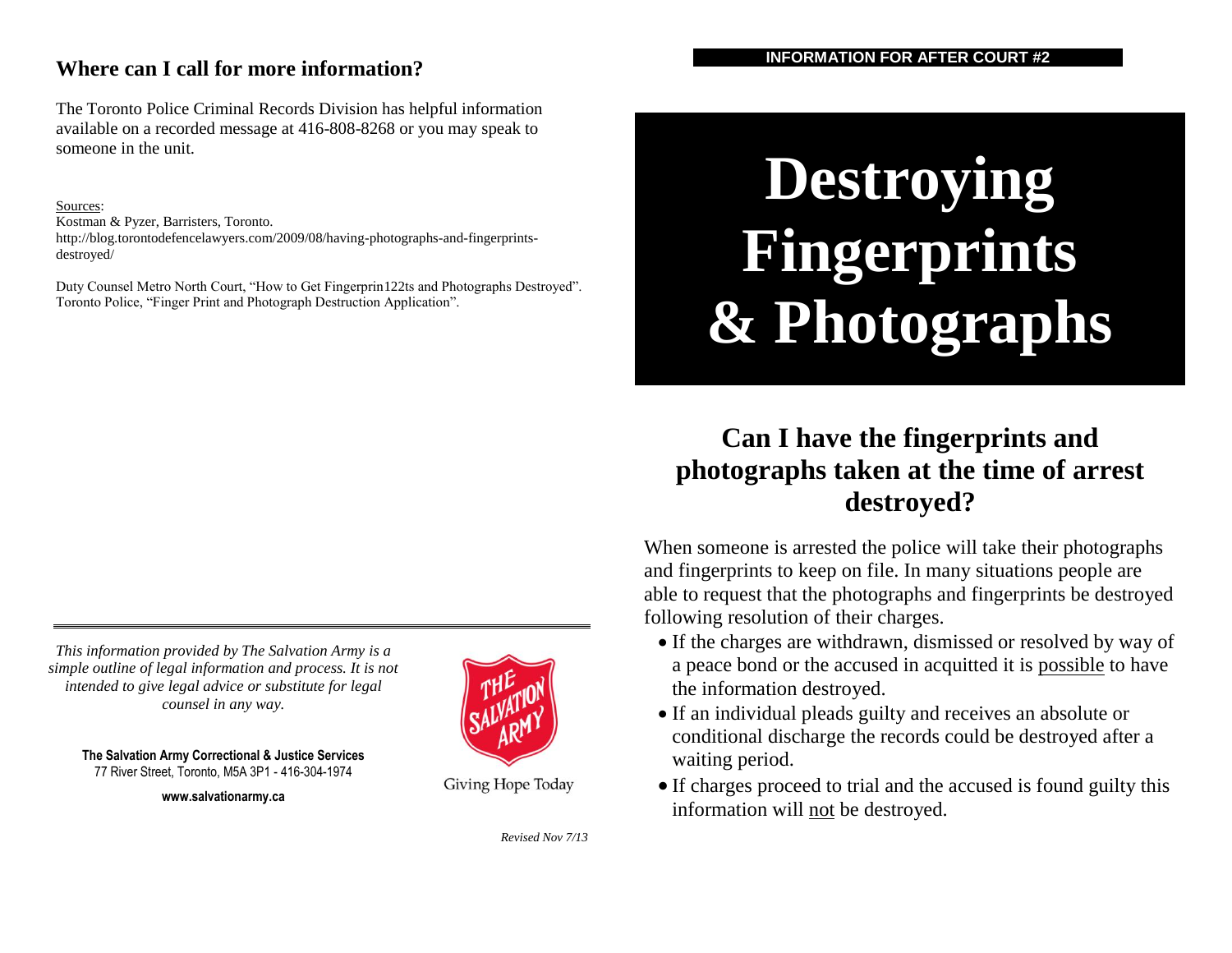#### **Where can I call for more information?**

**INFORMATION FOR AFTER COURT #2**

The Toronto Police Criminal Records Division has helpful information available on a recorded message at 416-808-8268 or you may speak to someone in the unit.

#### Sources:

Kostman & Pyzer, Barristers, Toronto. http://blog.torontodefencelawyers.com/2009/08/having-photographs-and-fingerprintsdestroyed/

Duty Counsel Metro North Court, "How to Get Fingerprin122ts and Photographs Destroyed". Toronto Police, "Finger Print and Photograph Destruction Application".

# **Destroying Fingerprints & Photographs**

# **Can I have the fingerprints and photographs taken at the time of arrest destroyed?**

When someone is arrested the police will take their photographs and fingerprints to keep on file. In many situations people are able to request that the photographs and fingerprints be destroyed following resolution of their charges.

- If the charges are withdrawn, dismissed or resolved by way of a peace bond or the accused in acquitted it is possible to have the information destroyed.
- If an individual pleads guilty and receives an absolute or conditional discharge the records could be destroyed after a waiting period.
- If charges proceed to trial and the accused is found guilty this information will not be destroyed.

*This information provided by The Salvation Army is a simple outline of legal information and process. It is not intended to give legal advice or substitute for legal counsel in any way.*

**The Salvation Army Correctional & Justice Services** 77 River Street, Toronto, M5A 3P1 - 416-304-1974

**www.salvationarmy.ca**



Giving Hope Today

*Revised Nov 7/13*